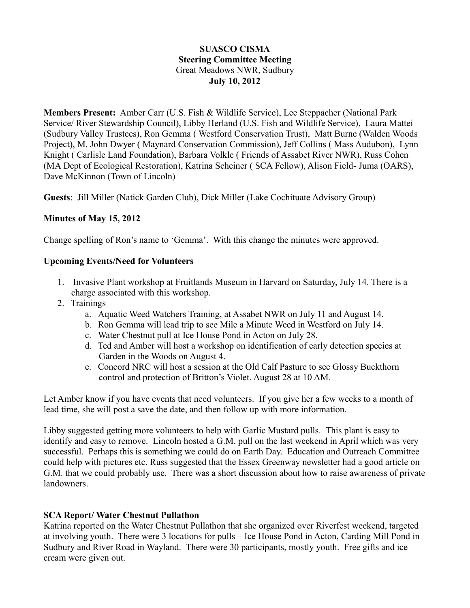### **SUASCO CISMA Steering Committee Meeting** Great Meadows NWR, Sudbury **July 10, 2012**

**Members Present:** Amber Carr (U.S. Fish & Wildlife Service), Lee Steppacher (National Park Service/ River Stewardship Council), Libby Herland (U.S. Fish and Wildlife Service), Laura Mattei (Sudbury Valley Trustees), Ron Gemma ( Westford Conservation Trust), Matt Burne (Walden Woods Project), M. John Dwyer ( Maynard Conservation Commission), Jeff Collins ( Mass Audubon), Lynn Knight ( Carlisle Land Foundation), Barbara Volkle ( Friends of Assabet River NWR), Russ Cohen (MA Dept of Ecological Restoration), Katrina Scheiner ( SCA Fellow), Alison Field- Juma (OARS), Dave McKinnon (Town of Lincoln)

**Guests**: Jill Miller (Natick Garden Club), Dick Miller (Lake Cochituate Advisory Group)

### **Minutes of May 15, 2012**

Change spelling of Ron's name to 'Gemma'. With this change the minutes were approved.

#### **Upcoming Events/Need for Volunteers**

- 1. Invasive Plant workshop at Fruitlands Museum in Harvard on Saturday, July 14. There is a charge associated with this workshop.
- 2. Trainings
	- a. Aquatic Weed Watchers Training, at Assabet NWR on July 11 and August 14.
	- b. Ron Gemma will lead trip to see Mile a Minute Weed in Westford on July 14.
	- c. Water Chestnut pull at Ice House Pond in Acton on July 28.
	- d. Ted and Amber will host a workshop on identification of early detection species at Garden in the Woods on August 4.
	- e. Concord NRC will host a session at the Old Calf Pasture to see Glossy Buckthorn control and protection of Britton's Violet. August 28 at 10 AM.

Let Amber know if you have events that need volunteers. If you give her a few weeks to a month of lead time, she will post a save the date, and then follow up with more information.

Libby suggested getting more volunteers to help with Garlic Mustard pulls. This plant is easy to identify and easy to remove. Lincoln hosted a G.M. pull on the last weekend in April which was very successful. Perhaps this is something we could do on Earth Day. Education and Outreach Committee could help with pictures etc. Russ suggested that the Essex Greenway newsletter had a good article on G.M. that we could probably use. There was a short discussion about how to raise awareness of private **landowners** 

### **SCA Report/ Water Chestnut Pullathon**

Katrina reported on the Water Chestnut Pullathon that she organized over Riverfest weekend, targeted at involving youth. There were 3 locations for pulls – Ice House Pond in Acton, Carding Mill Pond in Sudbury and River Road in Wayland. There were 30 participants, mostly youth. Free gifts and ice cream were given out.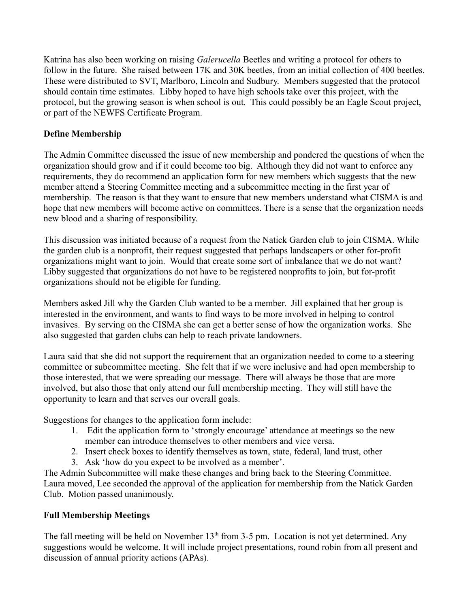Katrina has also been working on raising *Galerucella* Beetles and writing a protocol for others to follow in the future. She raised between 17K and 30K beetles, from an initial collection of 400 beetles. These were distributed to SVT, Marlboro, Lincoln and Sudbury. Members suggested that the protocol should contain time estimates. Libby hoped to have high schools take over this project, with the protocol, but the growing season is when school is out. This could possibly be an Eagle Scout project, or part of the NEWFS Certificate Program.

# **Define Membership**

The Admin Committee discussed the issue of new membership and pondered the questions of when the organization should grow and if it could become too big. Although they did not want to enforce any requirements, they do recommend an application form for new members which suggests that the new member attend a Steering Committee meeting and a subcommittee meeting in the first year of membership. The reason is that they want to ensure that new members understand what CISMA is and hope that new members will become active on committees. There is a sense that the organization needs new blood and a sharing of responsibility.

This discussion was initiated because of a request from the Natick Garden club to join CISMA. While the garden club is a nonprofit, their request suggested that perhaps landscapers or other for-profit organizations might want to join. Would that create some sort of imbalance that we do not want? Libby suggested that organizations do not have to be registered nonprofits to join, but for-profit organizations should not be eligible for funding.

Members asked Jill why the Garden Club wanted to be a member. Jill explained that her group is interested in the environment, and wants to find ways to be more involved in helping to control invasives. By serving on the CISMA she can get a better sense of how the organization works. She also suggested that garden clubs can help to reach private landowners.

Laura said that she did not support the requirement that an organization needed to come to a steering committee or subcommittee meeting. She felt that if we were inclusive and had open membership to those interested, that we were spreading our message. There will always be those that are more involved, but also those that only attend our full membership meeting. They will still have the opportunity to learn and that serves our overall goals.

Suggestions for changes to the application form include:

- 1. Edit the application form to 'strongly encourage' attendance at meetings so the new member can introduce themselves to other members and vice versa.
- 2. Insert check boxes to identify themselves as town, state, federal, land trust, other
- 3. Ask 'how do you expect to be involved as a member'.

The Admin Subcommittee will make these changes and bring back to the Steering Committee. Laura moved, Lee seconded the approval of the application for membership from the Natick Garden Club. Motion passed unanimously.

# **Full Membership Meetings**

The fall meeting will be held on November  $13<sup>th</sup>$  from 3-5 pm. Location is not yet determined. Any suggestions would be welcome. It will include project presentations, round robin from all present and discussion of annual priority actions (APAs).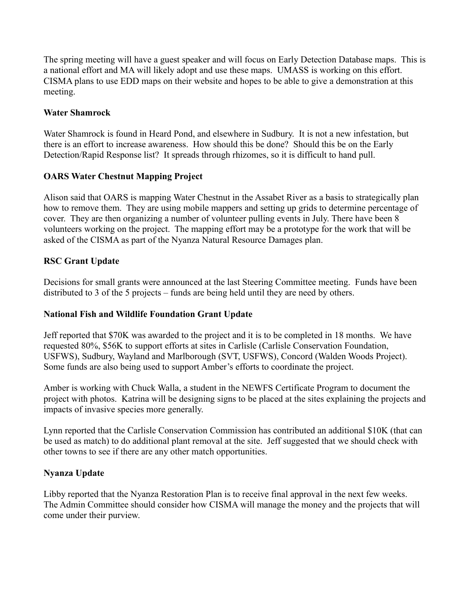The spring meeting will have a guest speaker and will focus on Early Detection Database maps. This is a national effort and MA will likely adopt and use these maps. UMASS is working on this effort. CISMA plans to use EDD maps on their website and hopes to be able to give a demonstration at this meeting.

# **Water Shamrock**

Water Shamrock is found in Heard Pond, and elsewhere in Sudbury. It is not a new infestation, but there is an effort to increase awareness. How should this be done? Should this be on the Early Detection/Rapid Response list? It spreads through rhizomes, so it is difficult to hand pull.

# **OARS Water Chestnut Mapping Project**

Alison said that OARS is mapping Water Chestnut in the Assabet River as a basis to strategically plan how to remove them. They are using mobile mappers and setting up grids to determine percentage of cover. They are then organizing a number of volunteer pulling events in July. There have been 8 volunteers working on the project. The mapping effort may be a prototype for the work that will be asked of the CISMA as part of the Nyanza Natural Resource Damages plan.

# **RSC Grant Update**

Decisions for small grants were announced at the last Steering Committee meeting. Funds have been distributed to 3 of the 5 projects – funds are being held until they are need by others.

### **National Fish and Wildlife Foundation Grant Update**

Jeff reported that \$70K was awarded to the project and it is to be completed in 18 months. We have requested 80%, \$56K to support efforts at sites in Carlisle (Carlisle Conservation Foundation, USFWS), Sudbury, Wayland and Marlborough (SVT, USFWS), Concord (Walden Woods Project). Some funds are also being used to support Amber's efforts to coordinate the project.

Amber is working with Chuck Walla, a student in the NEWFS Certificate Program to document the project with photos. Katrina will be designing signs to be placed at the sites explaining the projects and impacts of invasive species more generally.

Lynn reported that the Carlisle Conservation Commission has contributed an additional \$10K (that can be used as match) to do additional plant removal at the site. Jeff suggested that we should check with other towns to see if there are any other match opportunities.

### **Nyanza Update**

Libby reported that the Nyanza Restoration Plan is to receive final approval in the next few weeks. The Admin Committee should consider how CISMA will manage the money and the projects that will come under their purview.